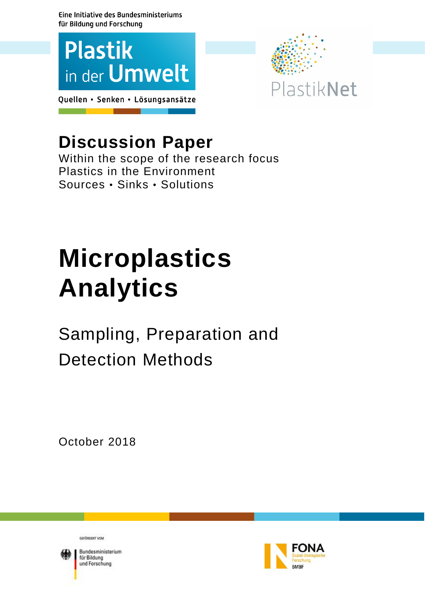Eine Initiative des Bundesministeriums für Bildung und Forschung





## **Discussion Paper**

Within the scope of the research focus Plastics in the Environment Sources • Sinks • Solutions

# **Microplastics Analytics**

Sampling, Preparation and Detection Methods

October 2018



Bundesministerium für Bildung und Forschung

GEFÖRDERT VOM

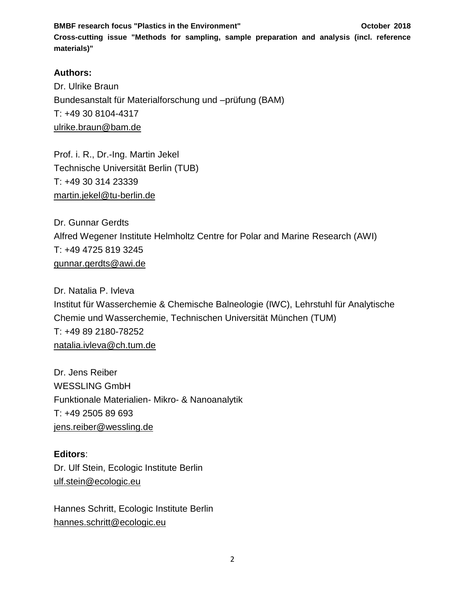**BMBF research focus "Plastics in the Environment" COMBIF 1999 12018** October 2018

**Cross-cutting issue "Methods for sampling, sample preparation and analysis (incl. reference materials)"**

## **Authors:**

Dr. Ulrike Braun Bundesanstalt für Materialforschung und –prüfung (BAM) T: +49 30 8104-4317 [ulrike.braun@bam.de](mailto:ulrike.braun@bam.de)

Prof. i. R., Dr.-Ing. Martin Jekel Technische Universität Berlin (TUB) T: +49 30 314 23339 [martin.jekel@tu-berlin.de](mailto:martin.jekel@tu-berlin.de)

Dr. Gunnar Gerdts Alfred Wegener Institute Helmholtz Centre for Polar and Marine Research (AWI) T: +49 4725 819 3245 gunnar.gerdts@awi.de

Dr. Natalia P. Ivleva Institut für Wasserchemie & Chemische Balneologie (IWC), Lehrstuhl für Analytische Chemie und Wasserchemie, Technischen Universität München (TUM) T: +49 89 2180-78252 [natalia.ivleva@ch.tum.de](mailto:natalia.ivleva@ch.tum.de)

Dr. Jens Reiber WESSLING GmbH Funktionale Materialien- Mikro- & Nanoanalytik T: +49 2505 89 693 [jens.reiber@wessling.de](mailto:jens.reiber@wessling.de)

## **Editors**:

Dr. Ulf Stein, Ecologic Institute Berlin ulf.stein@ecologic.eu

Hannes Schritt, Ecologic Institute Berlin hannes.schritt@ecologic.eu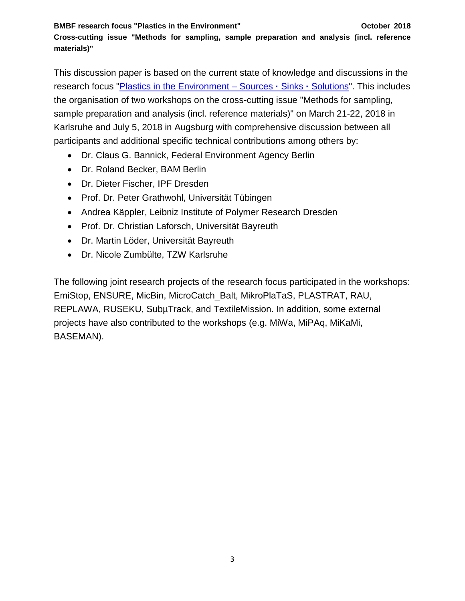**Cross-cutting issue "Methods for sampling, sample preparation and analysis (incl. reference materials)"**

This discussion paper is based on the current state of knowledge and discussions in the research focus ["Plastics in the Environment –](https://bmbf-plastik.de/en) Sources **·** Sinks **·** Solutions". This includes the organisation of two workshops on the cross-cutting issue "Methods for sampling, sample preparation and analysis (incl. reference materials)" on March 21-22, 2018 in Karlsruhe and July 5, 2018 in Augsburg with comprehensive discussion between all participants and additional specific technical contributions among others by:

- Dr. Claus G. Bannick, Federal Environment Agency Berlin
- Dr. Roland Becker, BAM Berlin
- Dr. Dieter Fischer, IPF Dresden
- Prof. Dr. Peter Grathwohl, Universität Tübingen
- Andrea Käppler, Leibniz Institute of Polymer Research Dresden
- Prof. Dr. Christian Laforsch, Universität Bayreuth
- Dr. Martin Löder, Universität Bayreuth
- Dr. Nicole Zumbülte, TZW Karlsruhe

The following joint research projects of the research focus participated in the workshops: EmiStop, ENSURE, MicBin, MicroCatch\_Balt, MikroPlaTaS, PLASTRAT, RAU, REPLAWA, RUSEKU, SubµTrack, and TextileMission. In addition, some external projects have also contributed to the workshops (e.g. MiWa, MiPAq, MiKaMi, BASEMAN).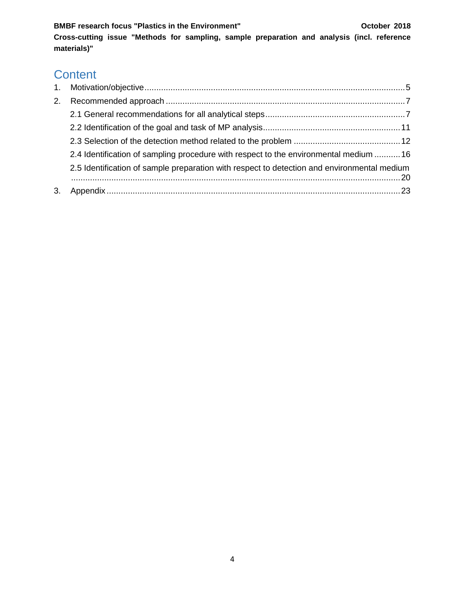**BMBF research focus "Plastics in the Environment" COLO 2018 October 2018** 

**Cross-cutting issue "Methods for sampling, sample preparation and analysis (incl. reference materials)"**

## **Content**

| 2. |                                                                                             |
|----|---------------------------------------------------------------------------------------------|
|    |                                                                                             |
|    |                                                                                             |
|    |                                                                                             |
|    | 2.4 Identification of sampling procedure with respect to the environmental medium 16        |
|    | 2.5 Identification of sample preparation with respect to detection and environmental medium |
| 3. |                                                                                             |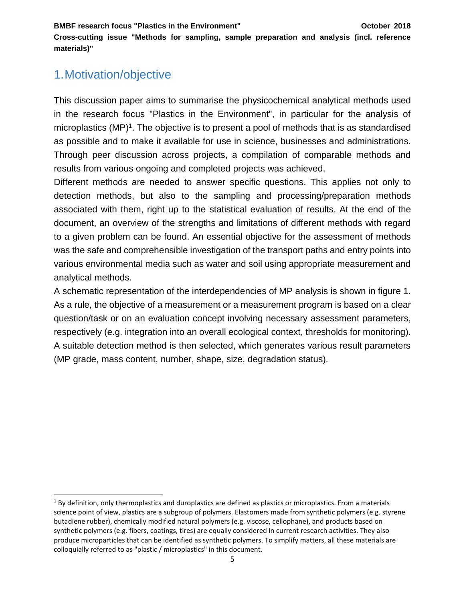**BMBF research focus "Plastics in the Environment"** The Communist Communist Communist Communist Communist Communist Communist Communist Communist Communist Communist Communist Communist Communist Communist Communist Commun

**Cross-cutting issue "Methods for sampling, sample preparation and analysis (incl. reference materials)"**

## <span id="page-4-0"></span>1.Motivation/objective

l

This discussion paper aims to summarise the physicochemical analytical methods used in the research focus "Plastics in the Environment", in particular for the analysis of microplastics  $(MP)^1$ . The objective is to present a pool of methods that is as standardised as possible and to make it available for use in science, businesses and administrations. Through peer discussion across projects, a compilation of comparable methods and results from various ongoing and completed projects was achieved.

Different methods are needed to answer specific questions. This applies not only to detection methods, but also to the sampling and processing/preparation methods associated with them, right up to the statistical evaluation of results. At the end of the document, an overview of the strengths and limitations of different methods with regard to a given problem can be found. An essential objective for the assessment of methods was the safe and comprehensible investigation of the transport paths and entry points into various environmental media such as water and soil using appropriate measurement and analytical methods.

A schematic representation of the interdependencies of MP analysis is shown in figure 1. As a rule, the objective of a measurement or a measurement program is based on a clear question/task or on an evaluation concept involving necessary assessment parameters, respectively (e.g. integration into an overall ecological context, thresholds for monitoring). A suitable detection method is then selected, which generates various result parameters (MP grade, mass content, number, shape, size, degradation status).

 $1$  By definition, only thermoplastics and duroplastics are defined as plastics or microplastics. From a materials science point of view, plastics are a subgroup of polymers. Elastomers made from synthetic polymers (e.g. styrene butadiene rubber), chemically modified natural polymers (e.g. viscose, cellophane), and products based on synthetic polymers (e.g. fibers, coatings, tires) are equally considered in current research activities. They also produce microparticles that can be identified as synthetic polymers. To simplify matters, all these materials are colloquially referred to as "plastic / microplastics" in this document.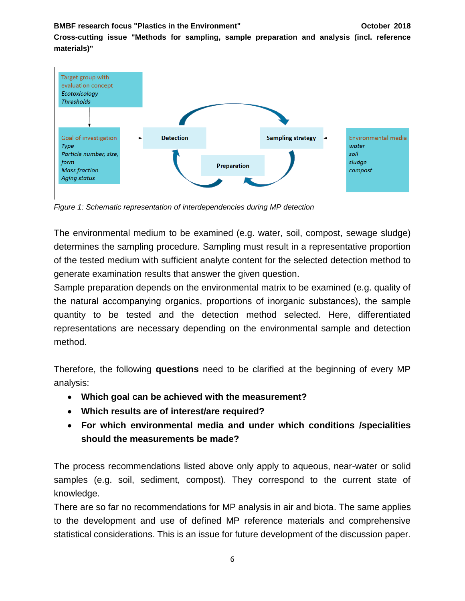**Cross-cutting issue "Methods for sampling, sample preparation and analysis (incl. reference materials)"**



*Figure 1: Schematic representation of interdependencies during MP detection*

The environmental medium to be examined (e.g. water, soil, compost, sewage sludge) determines the sampling procedure. Sampling must result in a representative proportion of the tested medium with sufficient analyte content for the selected detection method to generate examination results that answer the given question.

Sample preparation depends on the environmental matrix to be examined (e.g. quality of the natural accompanying organics, proportions of inorganic substances), the sample quantity to be tested and the detection method selected. Here, differentiated representations are necessary depending on the environmental sample and detection method.

Therefore, the following **questions** need to be clarified at the beginning of every MP analysis:

- **Which goal can be achieved with the measurement?**
- **Which results are of interest/are required?**
- **For which environmental media and under which conditions /specialities should the measurements be made?**

The process recommendations listed above only apply to aqueous, near-water or solid samples (e.g. soil, sediment, compost). They correspond to the current state of knowledge.

There are so far no recommendations for MP analysis in air and biota. The same applies to the development and use of defined MP reference materials and comprehensive statistical considerations. This is an issue for future development of the discussion paper.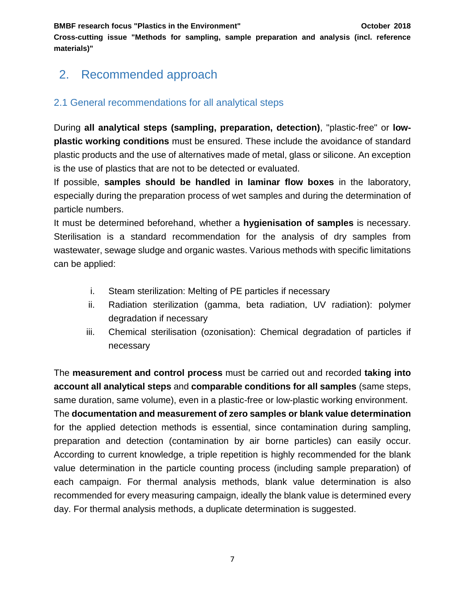**Cross-cutting issue "Methods for sampling, sample preparation and analysis (incl. reference materials)"**

## <span id="page-6-0"></span>2. Recommended approach

## <span id="page-6-1"></span>2.1 General recommendations for all analytical steps

During **all analytical steps (sampling, preparation, detection)**, "plastic-free" or **lowplastic working conditions** must be ensured. These include the avoidance of standard plastic products and the use of alternatives made of metal, glass or silicone. An exception is the use of plastics that are not to be detected or evaluated.

If possible, **samples should be handled in laminar flow boxes** in the laboratory, especially during the preparation process of wet samples and during the determination of particle numbers.

It must be determined beforehand, whether a **hygienisation of samples** is necessary. Sterilisation is a standard recommendation for the analysis of dry samples from wastewater, sewage sludge and organic wastes. Various methods with specific limitations can be applied:

- i. Steam sterilization: Melting of PE particles if necessary
- ii. Radiation sterilization (gamma, beta radiation, UV radiation): polymer degradation if necessary
- iii. Chemical sterilisation (ozonisation): Chemical degradation of particles if necessary

The **measurement and control process** must be carried out and recorded **taking into account all analytical steps** and **comparable conditions for all samples** (same steps, same duration, same volume), even in a plastic-free or low-plastic working environment. The **documentation and measurement of zero samples or blank value determination** for the applied detection methods is essential, since contamination during sampling, preparation and detection (contamination by air borne particles) can easily occur. According to current knowledge, a triple repetition is highly recommended for the blank value determination in the particle counting process (including sample preparation) of each campaign. For thermal analysis methods, blank value determination is also recommended for every measuring campaign, ideally the blank value is determined every day. For thermal analysis methods, a duplicate determination is suggested.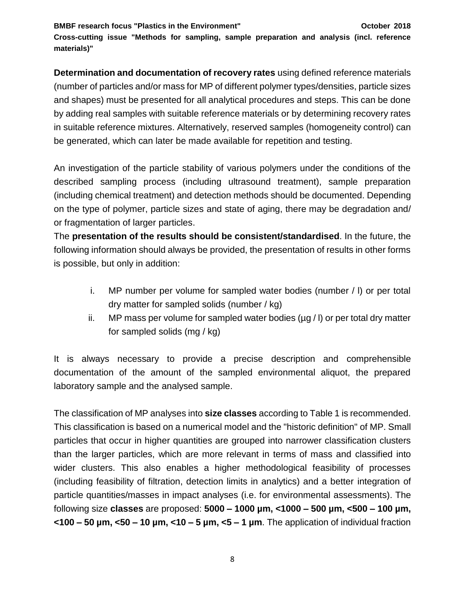**Cross-cutting issue "Methods for sampling, sample preparation and analysis (incl. reference materials)"**

**Determination and documentation of recovery rates** using defined reference materials (number of particles and/or mass for MP of different polymer types/densities, particle sizes and shapes) must be presented for all analytical procedures and steps. This can be done by adding real samples with suitable reference materials or by determining recovery rates in suitable reference mixtures. Alternatively, reserved samples (homogeneity control) can be generated, which can later be made available for repetition and testing.

An investigation of the particle stability of various polymers under the conditions of the described sampling process (including ultrasound treatment), sample preparation (including chemical treatment) and detection methods should be documented. Depending on the type of polymer, particle sizes and state of aging, there may be degradation and/ or fragmentation of larger particles.

The **presentation of the results should be consistent/standardised**. In the future, the following information should always be provided, the presentation of results in other forms is possible, but only in addition:

- i. MP number per volume for sampled water bodies (number / l) or per total dry matter for sampled solids (number / kg)
- ii. MP mass per volume for sampled water bodies  $(\mu q / I)$  or per total dry matter for sampled solids (mg / kg)

It is always necessary to provide a precise description and comprehensible documentation of the amount of the sampled environmental aliquot, the prepared laboratory sample and the analysed sample.

The classification of MP analyses into **size classes** according to Table 1 is recommended. This classification is based on a numerical model and the "historic definition" of MP. Small particles that occur in higher quantities are grouped into narrower classification clusters than the larger particles, which are more relevant in terms of mass and classified into wider clusters. This also enables a higher methodological feasibility of processes (including feasibility of filtration, detection limits in analytics) and a better integration of particle quantities/masses in impact analyses (i.e. for environmental assessments). The following size **classes** are proposed: **5000 – 1000 µm, <1000 – 500 µm, <500 – 100 µm, <100 – 50 µm, <50 – 10 µm, <10 – 5 µm, <5 – 1 µm**. The application of individual fraction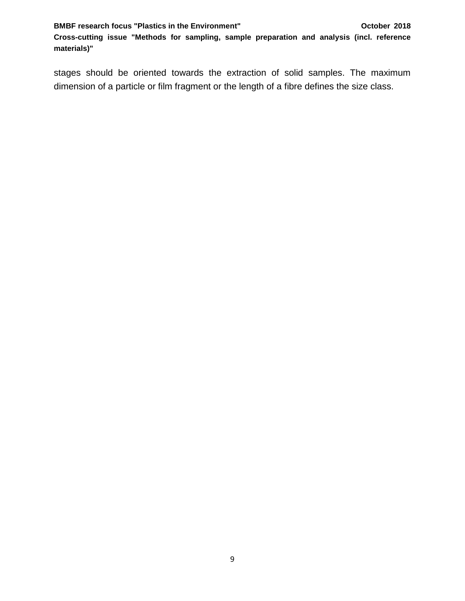**Cross-cutting issue "Methods for sampling, sample preparation and analysis (incl. reference materials)"**

stages should be oriented towards the extraction of solid samples. The maximum dimension of a particle or film fragment or the length of a fibre defines the size class.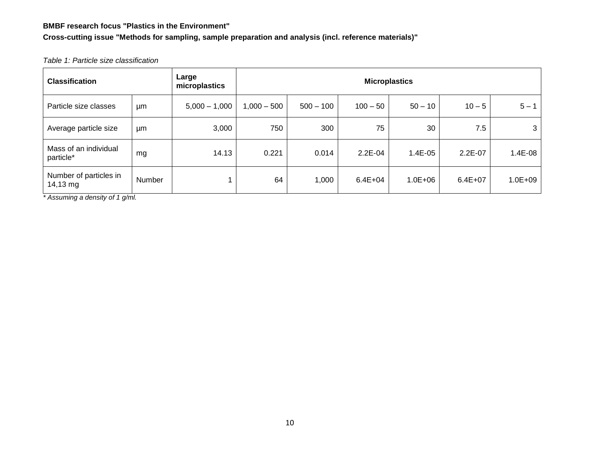## **BMBF research focus "Plastics in the Environment"**

**Cross-cutting issue "Methods for sampling, sample preparation and analysis (incl. reference materials)"**

#### *Table 1: Particle size classification*

| <b>Classification</b>                          |        | Large<br>microplastics | <b>Microplastics</b> |             |             |             |             |             |
|------------------------------------------------|--------|------------------------|----------------------|-------------|-------------|-------------|-------------|-------------|
| Particle size classes                          | µm     | $5,000 - 1,000$        | $1,000 - 500$        | $500 - 100$ | $100 - 50$  | $50 - 10$   | $10 - 5$    | $5 - 1$     |
| Average particle size                          | μm     | 3,000                  | 750                  | 300         | 75          | 30          | 7.5         | 3           |
| Mass of an individual<br>particle*             | mg     | 14.13                  | 0.221                | 0.014       | $2.2E-04$   | 1.4E-05     | $2.2E-07$   | 1.4E-08     |
| Number of particles in<br>$14,13 \, \text{mg}$ | Number |                        | 64                   | 1,000       | $6.4E + 04$ | $1.0E + 06$ | $6.4E + 07$ | $1.0E + 09$ |

*\* Assuming a density of 1 g/ml.*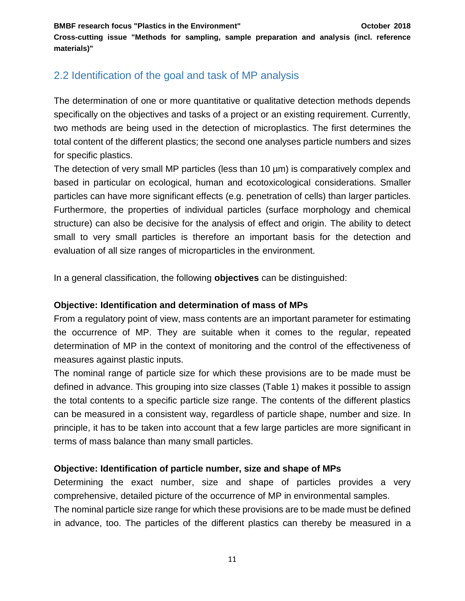**Cross-cutting issue "Methods for sampling, sample preparation and analysis (incl. reference materials)"**

## <span id="page-10-0"></span>2.2 Identification of the goal and task of MP analysis

The determination of one or more quantitative or qualitative detection methods depends specifically on the objectives and tasks of a project or an existing requirement. Currently, two methods are being used in the detection of microplastics. The first determines the total content of the different plastics; the second one analyses particle numbers and sizes for specific plastics.

The detection of very small MP particles (less than 10  $\mu$ m) is comparatively complex and based in particular on ecological, human and ecotoxicological considerations. Smaller particles can have more significant effects (e.g. penetration of cells) than larger particles. Furthermore, the properties of individual particles (surface morphology and chemical structure) can also be decisive for the analysis of effect and origin. The ability to detect small to very small particles is therefore an important basis for the detection and evaluation of all size ranges of microparticles in the environment.

In a general classification, the following **objectives** can be distinguished:

## **Objective: Identification and determination of mass of MPs**

From a regulatory point of view, mass contents are an important parameter for estimating the occurrence of MP. They are suitable when it comes to the regular, repeated determination of MP in the context of monitoring and the control of the effectiveness of measures against plastic inputs.

The nominal range of particle size for which these provisions are to be made must be defined in advance. This grouping into size classes (Table 1) makes it possible to assign the total contents to a specific particle size range. The contents of the different plastics can be measured in a consistent way, regardless of particle shape, number and size. In principle, it has to be taken into account that a few large particles are more significant in terms of mass balance than many small particles.

## **Objective: Identification of particle number, size and shape of MPs**

Determining the exact number, size and shape of particles provides a very comprehensive, detailed picture of the occurrence of MP in environmental samples.

The nominal particle size range for which these provisions are to be made must be defined in advance, too. The particles of the different plastics can thereby be measured in a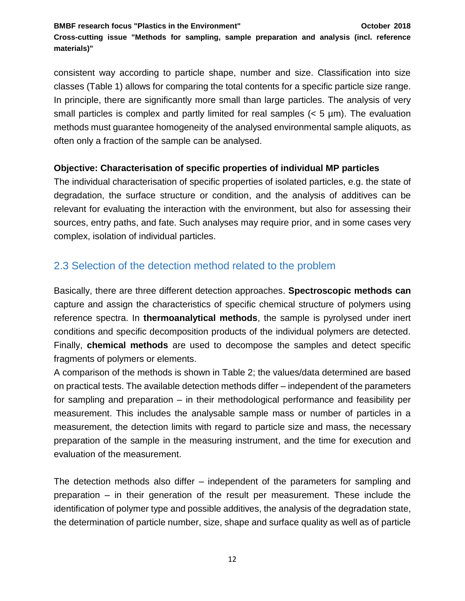**Cross-cutting issue "Methods for sampling, sample preparation and analysis (incl. reference materials)"**

consistent way according to particle shape, number and size. Classification into size classes (Table 1) allows for comparing the total contents for a specific particle size range. In principle, there are significantly more small than large particles. The analysis of very small particles is complex and partly limited for real samples (< 5 µm). The evaluation methods must guarantee homogeneity of the analysed environmental sample aliquots, as often only a fraction of the sample can be analysed.

## **Objective: Characterisation of specific properties of individual MP particles**

The individual characterisation of specific properties of isolated particles, e.g. the state of degradation, the surface structure or condition, and the analysis of additives can be relevant for evaluating the interaction with the environment, but also for assessing their sources, entry paths, and fate. Such analyses may require prior, and in some cases very complex, isolation of individual particles.

## <span id="page-11-0"></span>2.3 Selection of the detection method related to the problem

Basically, there are three different detection approaches. **Spectroscopic methods can**  capture and assign the characteristics of specific chemical structure of polymers using reference spectra. In **thermoanalytical methods**, the sample is pyrolysed under inert conditions and specific decomposition products of the individual polymers are detected. Finally, **chemical methods** are used to decompose the samples and detect specific fragments of polymers or elements.

A comparison of the methods is shown in Table 2; the values/data determined are based on practical tests. The available detection methods differ – independent of the parameters for sampling and preparation – in their methodological performance and feasibility per measurement. This includes the analysable sample mass or number of particles in a measurement, the detection limits with regard to particle size and mass, the necessary preparation of the sample in the measuring instrument, and the time for execution and evaluation of the measurement.

The detection methods also differ – independent of the parameters for sampling and preparation – in their generation of the result per measurement. These include the identification of polymer type and possible additives, the analysis of the degradation state, the determination of particle number, size, shape and surface quality as well as of particle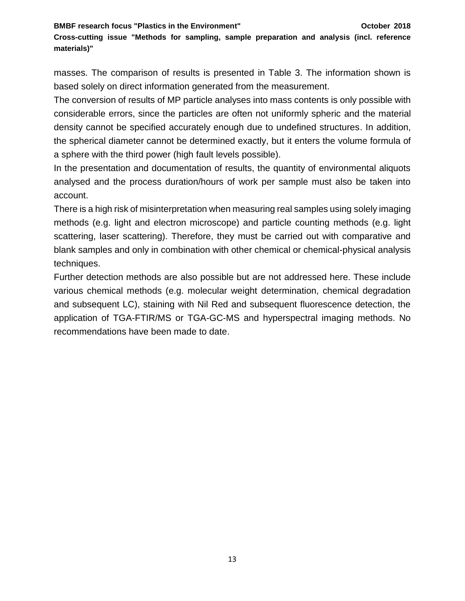**Cross-cutting issue "Methods for sampling, sample preparation and analysis (incl. reference materials)"**

masses. The comparison of results is presented in Table 3. The information shown is based solely on direct information generated from the measurement.

The conversion of results of MP particle analyses into mass contents is only possible with considerable errors, since the particles are often not uniformly spheric and the material density cannot be specified accurately enough due to undefined structures. In addition, the spherical diameter cannot be determined exactly, but it enters the volume formula of a sphere with the third power (high fault levels possible).

In the presentation and documentation of results, the quantity of environmental aliquots analysed and the process duration/hours of work per sample must also be taken into account.

There is a high risk of misinterpretation when measuring real samples using solely imaging methods (e.g. light and electron microscope) and particle counting methods (e.g. light scattering, laser scattering). Therefore, they must be carried out with comparative and blank samples and only in combination with other chemical or chemical-physical analysis techniques.

Further detection methods are also possible but are not addressed here. These include various chemical methods (e.g. molecular weight determination, chemical degradation and subsequent LC), staining with Nil Red and subsequent fluorescence detection, the application of TGA-FTIR/MS or TGA-GC-MS and hyperspectral imaging methods. No recommendations have been made to date.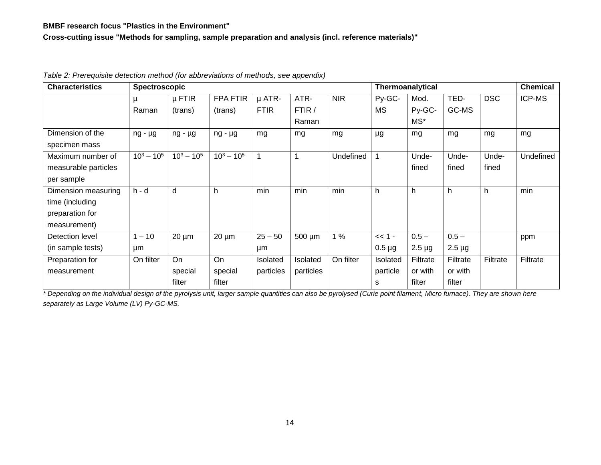## **BMBF research focus "Plastics in the Environment"**

**Cross-cutting issue "Methods for sampling, sample preparation and analysis (incl. reference materials)"**

| <b>Characteristics</b> |               | Spectroscopic |                 |             |             |            | Thermoanalytical |             |             | <b>Chemical</b> |               |
|------------------------|---------------|---------------|-----------------|-------------|-------------|------------|------------------|-------------|-------------|-----------------|---------------|
|                        | μ             | $\mu$ FTIR    | <b>FPA FTIR</b> | µ ATR-      | ATR-        | <b>NIR</b> | Py-GC-           | Mod.        | TED-        | <b>DSC</b>      | <b>ICP-MS</b> |
|                        | Raman         | (trans)       | (trans)         | <b>FTIR</b> | FTIR /      |            | <b>MS</b>        | Py-GC-      | GC-MS       |                 |               |
|                        |               |               |                 |             | Raman       |            |                  | MS*         |             |                 |               |
| Dimension of the       | $ng - \mu g$  | $ng - \mu g$  | ng - µg         | mg          | mg          | mg         | μg               | mg          | mg          | mg              | mg            |
| specimen mass          |               |               |                 |             |             |            |                  |             |             |                 |               |
| Maximum number of      | $10^3 - 10^5$ | $10^3 - 10^5$ | $10^3 - 10^5$   |             |             | Undefined  |                  | Unde-       | Unde-       | Unde-           | Undefined     |
| measurable particles   |               |               |                 |             |             |            |                  | fined       | fined       | fined           |               |
| per sample             |               |               |                 |             |             |            |                  |             |             |                 |               |
| Dimension measuring    | $h - d$       | d             | h               | min         | min         | min        | h                | h           | h           | h.              | min           |
| time (including        |               |               |                 |             |             |            |                  |             |             |                 |               |
| preparation for        |               |               |                 |             |             |            |                  |             |             |                 |               |
| measurement)           |               |               |                 |             |             |            |                  |             |             |                 |               |
| Detection level        | $1 - 10$      | $20 \mu m$    | $20 \mu m$      | $25 - 50$   | $500 \mu m$ | 1%         | $<< 1 -$         | $0.5 -$     | $0.5 -$     |                 | ppm           |
| (in sample tests)      | μm            |               |                 | µm          |             |            | $0.5 \mu g$      | $2.5 \mu g$ | $2.5 \mu g$ |                 |               |
| Preparation for        | On filter     | On            | On              | Isolated    | Isolated    | On filter  | Isolated         | Filtrate    | Filtrate    | Filtrate        | Filtrate      |
| measurement            |               | special       | special         | particles   | particles   |            | particle         | or with     | or with     |                 |               |
|                        |               | filter        | filter          |             |             |            | s                | filter      | filter      |                 |               |

*Table 2: Prerequisite detection method (for abbreviations of methods, see appendix)*

*\* Depending on the individual design of the pyrolysis unit, larger sample quantities can also be pyrolysed (Curie point filament, Micro furnace). They are shown here separately as Large Volume (LV) Py-GC-MS.*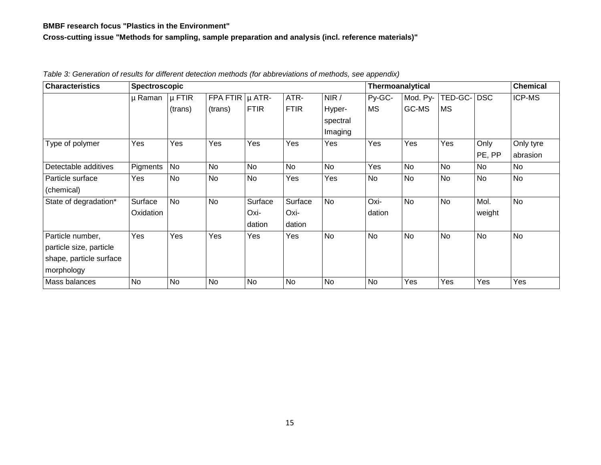## **BMBF research focus "Plastics in the Environment"**

**Cross-cutting issue "Methods for sampling, sample preparation and analysis (incl. reference materials)"**

| <b>Characteristics</b>  | Spectroscopic |            |                     |             |             |           |           | Thermoanalytical |           |            | <b>Chemical</b> |
|-------------------------|---------------|------------|---------------------|-------------|-------------|-----------|-----------|------------------|-----------|------------|-----------------|
|                         | µ Raman       | $\mu$ FTIR | FPA FTIR $\mu$ ATR- |             | ATR-        | NIR /     | Py-GC-    | Mod. Py-         | TED-GC-   | <b>DSC</b> | ICP-MS          |
|                         |               | (trans)    | (trans)             | <b>FTIR</b> | <b>FTIR</b> | Hyper-    | <b>MS</b> | GC-MS            | <b>MS</b> |            |                 |
|                         |               |            |                     |             |             | spectral  |           |                  |           |            |                 |
|                         |               |            |                     |             |             | Imaging   |           |                  |           |            |                 |
| Type of polymer         | Yes           | Yes        | Yes                 | Yes         | Yes         | Yes       | Yes       | Yes              | Yes       | Only       | Only tyre       |
|                         |               |            |                     |             |             |           |           |                  |           | PE, PP     | abrasion        |
| Detectable additives    | Pigments      | No         | No                  | No          | No          | <b>No</b> | Yes       | <b>No</b>        | <b>No</b> | <b>No</b>  | No              |
| Particle surface        | Yes           | No         | No                  | No          | Yes         | Yes       | No        | No               | No        | <b>No</b>  | <b>No</b>       |
| (chemical)              |               |            |                     |             |             |           |           |                  |           |            |                 |
| State of degradation*   | Surface       | <b>No</b>  | No                  | Surface     | Surface     | <b>No</b> | Oxi-      | <b>No</b>        | <b>No</b> | Mol.       | <b>No</b>       |
|                         | Oxidation     |            |                     | Oxi-        | Oxi-        |           | dation    |                  |           | weight     |                 |
|                         |               |            |                     | dation      | dation      |           |           |                  |           |            |                 |
| Particle number,        | Yes           | Yes        | Yes                 | Yes         | Yes         | <b>No</b> | No        | <b>No</b>        | <b>No</b> | <b>No</b>  | <b>No</b>       |
| particle size, particle |               |            |                     |             |             |           |           |                  |           |            |                 |
| shape, particle surface |               |            |                     |             |             |           |           |                  |           |            |                 |
| morphology              |               |            |                     |             |             |           |           |                  |           |            |                 |
| Mass balances           | No            | No         | No                  | <b>No</b>   | No          | <b>No</b> | No        | Yes              | Yes       | Yes        | Yes             |

*Table 3: Generation of results for different detection methods (for abbreviations of methods, see appendix)*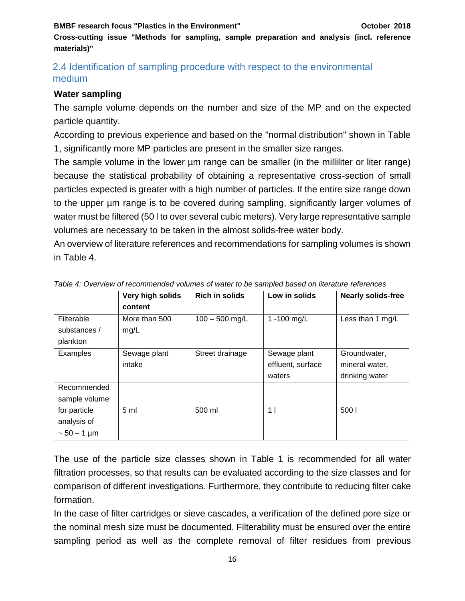**BMBF research focus "Plastics in the Environment" COMBIF 1999 12018** October 2018

**Cross-cutting issue "Methods for sampling, sample preparation and analysis (incl. reference materials)"**

## <span id="page-15-0"></span>2.4 Identification of sampling procedure with respect to the environmental medium

## **Water sampling**

The sample volume depends on the number and size of the MP and on the expected particle quantity.

According to previous experience and based on the "normal distribution" shown in Table 1, significantly more MP particles are present in the smaller size ranges.

The sample volume in the lower um range can be smaller (in the milliliter or liter range) because the statistical probability of obtaining a representative cross-section of small particles expected is greater with a high number of particles. If the entire size range down to the upper µm range is to be covered during sampling, significantly larger volumes of water must be filtered (50 l to over several cubic meters). Very large representative sample volumes are necessary to be taken in the almost solids-free water body.

An overview of literature references and recommendations for sampling volumes is shown in Table 4.

|                            | Very high solids<br>content | <b>Rich in solids</b> | Low in solids     | <b>Nearly solids-free</b> |
|----------------------------|-----------------------------|-----------------------|-------------------|---------------------------|
| Filterable<br>substances / | More than 500<br>mg/L       | $100 - 500$ mg/L      | $-100$ mg/L<br>1  | Less than 1 mg/L          |
| plankton                   |                             |                       |                   |                           |
| Examples                   | Sewage plant                | Street drainage       | Sewage plant      | Groundwater,              |
|                            | intake                      |                       | effluent, surface | mineral water,            |
|                            |                             |                       | waters            | drinking water            |
| Recommended                |                             |                       |                   |                           |
| sample volume              |                             |                       |                   |                           |
| for particle               | 5 <sub>m</sub>              | 500 ml                | 11                | 500 <sub>1</sub>          |
| analysis of                |                             |                       |                   |                           |
| $\sim 50 - 1 \,\mu m$      |                             |                       |                   |                           |

*Table 4: Overview of recommended volumes of water to be sampled based on literature references*

The use of the particle size classes shown in Table 1 is recommended for all water filtration processes, so that results can be evaluated according to the size classes and for comparison of different investigations. Furthermore, they contribute to reducing filter cake formation.

In the case of filter cartridges or sieve cascades, a verification of the defined pore size or the nominal mesh size must be documented. Filterability must be ensured over the entire sampling period as well as the complete removal of filter residues from previous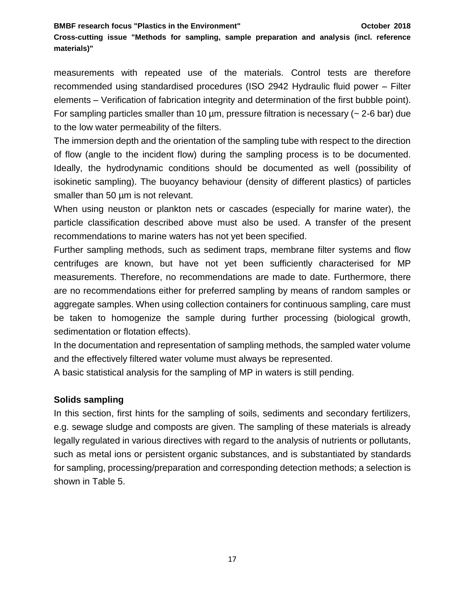#### **BMBF research focus "Plastics in the Environment"** Alta and the United States of the October 2018

**Cross-cutting issue "Methods for sampling, sample preparation and analysis (incl. reference materials)"**

measurements with repeated use of the materials. Control tests are therefore recommended using standardised procedures (ISO 2942 Hydraulic fluid power – Filter elements – Verification of fabrication integrity and determination of the first bubble point). For sampling particles smaller than 10  $\mu$ m, pressure filtration is necessary ( $\sim$  2-6 bar) due to the low water permeability of the filters.

The immersion depth and the orientation of the sampling tube with respect to the direction of flow (angle to the incident flow) during the sampling process is to be documented. Ideally, the hydrodynamic conditions should be documented as well (possibility of isokinetic sampling). The buoyancy behaviour (density of different plastics) of particles smaller than 50 um is not relevant.

When using neuston or plankton nets or cascades (especially for marine water), the particle classification described above must also be used. A transfer of the present recommendations to marine waters has not yet been specified.

Further sampling methods, such as sediment traps, membrane filter systems and flow centrifuges are known, but have not yet been sufficiently characterised for MP measurements. Therefore, no recommendations are made to date. Furthermore, there are no recommendations either for preferred sampling by means of random samples or aggregate samples. When using collection containers for continuous sampling, care must be taken to homogenize the sample during further processing (biological growth, sedimentation or flotation effects).

In the documentation and representation of sampling methods, the sampled water volume and the effectively filtered water volume must always be represented.

A basic statistical analysis for the sampling of MP in waters is still pending.

## **Solids sampling**

In this section, first hints for the sampling of soils, sediments and secondary fertilizers, e.g. sewage sludge and composts are given. The sampling of these materials is already legally regulated in various directives with regard to the analysis of nutrients or pollutants, such as metal ions or persistent organic substances, and is substantiated by standards for sampling, processing/preparation and corresponding detection methods; a selection is shown in Table 5.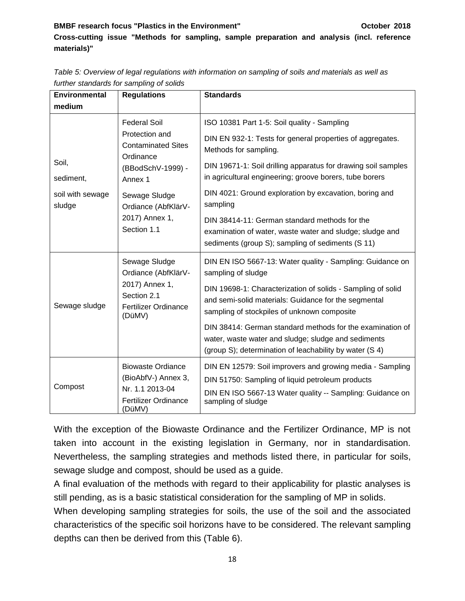**Cross-cutting issue "Methods for sampling, sample preparation and analysis (incl. reference materials)"**

| Environmental              | <b>Regulations</b>                                                                       | <b>Standards</b>                                                                                                                                                                                               |
|----------------------------|------------------------------------------------------------------------------------------|----------------------------------------------------------------------------------------------------------------------------------------------------------------------------------------------------------------|
| medium                     |                                                                                          |                                                                                                                                                                                                                |
|                            | <b>Federal Soil</b>                                                                      | ISO 10381 Part 1-5: Soil quality - Sampling                                                                                                                                                                    |
| Soil,<br>sediment,         | Protection and<br><b>Contaminated Sites</b><br>Ordinance<br>(BBodSchV-1999) -<br>Annex 1 | DIN EN 932-1: Tests for general properties of aggregates.<br>Methods for sampling.<br>DIN 19671-1: Soil drilling apparatus for drawing soil samples<br>in agricultural engineering; groove borers, tube borers |
| soil with sewage<br>sludge | Sewage Sludge<br>Ordiance (AbfKlärV-                                                     | DIN 4021: Ground exploration by excavation, boring and<br>sampling                                                                                                                                             |
|                            | 2017) Annex 1,<br>Section 1.1                                                            | DIN 38414-11: German standard methods for the<br>examination of water, waste water and sludge; sludge and<br>sediments (group S); sampling of sediments (S 11)                                                 |
|                            | Sewage Sludge<br>Ordiance (AbfKlärV-                                                     | DIN EN ISO 5667-13: Water quality - Sampling: Guidance on<br>sampling of sludge                                                                                                                                |
| Sewage sludge              | 2017) Annex 1,<br>Section 2.1<br><b>Fertilizer Ordinance</b><br>(DüMV)                   | DIN 19698-1: Characterization of solids - Sampling of solid<br>and semi-solid materials: Guidance for the segmental<br>sampling of stockpiles of unknown composite                                             |
|                            |                                                                                          | DIN 38414: German standard methods for the examination of<br>water, waste water and sludge; sludge and sediments<br>(group S); determination of leachability by water (S 4)                                    |
|                            | <b>Biowaste Ordiance</b>                                                                 | DIN EN 12579: Soil improvers and growing media - Sampling                                                                                                                                                      |
|                            | (BioAbfV-) Annex 3,                                                                      | DIN 51750: Sampling of liquid petroleum products                                                                                                                                                               |
| Compost                    | Nr. 1.1 2013-04<br><b>Fertilizer Ordinance</b><br>(DüMV)                                 | DIN EN ISO 5667-13 Water quality -- Sampling: Guidance on<br>sampling of sludge                                                                                                                                |

*Table 5: Overview of legal regulations with information on sampling of soils and materials as well as further standards for sampling of solids*

With the exception of the Biowaste Ordinance and the Fertilizer Ordinance, MP is not taken into account in the existing legislation in Germany, nor in standardisation. Nevertheless, the sampling strategies and methods listed there, in particular for soils, sewage sludge and compost, should be used as a guide.

A final evaluation of the methods with regard to their applicability for plastic analyses is still pending, as is a basic statistical consideration for the sampling of MP in solids.

When developing sampling strategies for soils, the use of the soil and the associated characteristics of the specific soil horizons have to be considered. The relevant sampling depths can then be derived from this (Table 6).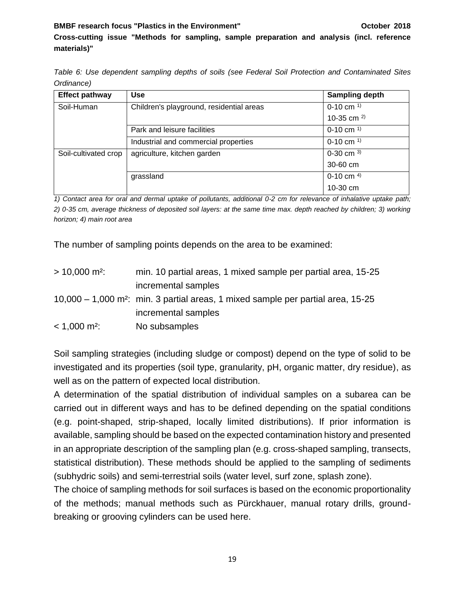#### **BMBF research focus "Plastics in the Environment"** The Communist Communist Communist Communist Communist Communist Communist Communist Communist Communist Communist Communist Communist Communist Communist Communist Commun

**Cross-cutting issue "Methods for sampling, sample preparation and analysis (incl. reference materials)"**

*Table 6: Use dependent sampling depths of soils (see Federal Soil Protection and Contaminated Sites Ordinance)*

| <b>Effect pathway</b> | <b>Use</b>                               | <b>Sampling depth</b> |
|-----------------------|------------------------------------------|-----------------------|
| Soil-Human            | Children's playground, residential areas | $0-10$ cm $^{1}$      |
|                       |                                          | 10-35 cm $^{2)}$      |
|                       | Park and leisure facilities              | $0-10$ cm $^{1}$      |
|                       | Industrial and commercial properties     | $0-10$ cm $^{1}$      |
| Soil-cultivated crop  | agriculture, kitchen garden              | 0-30 cm $3)$          |
|                       |                                          | 30-60 cm              |
|                       | grassland                                | 0-10 cm $4$ )         |
|                       |                                          | 10-30 cm              |

*1) Contact area for oral and dermal uptake of pollutants, additional 0-2 cm for relevance of inhalative uptake path; 2) 0-35 cm, average thickness of deposited soil layers: at the same time max. depth reached by children; 3) working horizon; 4) main root area*

The number of sampling points depends on the area to be examined:

> 10,000 m²: min. 10 partial areas, 1 mixed sample per partial area, 15-25 incremental samples 10,000 – 1,000 m²: min. 3 partial areas, 1 mixed sample per partial area, 15-25 incremental samples < 1,000 m²: No subsamples

Soil sampling strategies (including sludge or compost) depend on the type of solid to be investigated and its properties (soil type, granularity, pH, organic matter, dry residue), as well as on the pattern of expected local distribution.

A determination of the spatial distribution of individual samples on a subarea can be carried out in different ways and has to be defined depending on the spatial conditions (e.g. point-shaped, strip-shaped, locally limited distributions). If prior information is available, sampling should be based on the expected contamination history and presented in an appropriate description of the sampling plan (e.g. cross-shaped sampling, transects, statistical distribution). These methods should be applied to the sampling of sediments (subhydric soils) and semi-terrestrial soils (water level, surf zone, splash zone).

The choice of sampling methods for soil surfaces is based on the economic proportionality of the methods; manual methods such as Pürckhauer, manual rotary drills, groundbreaking or grooving cylinders can be used here.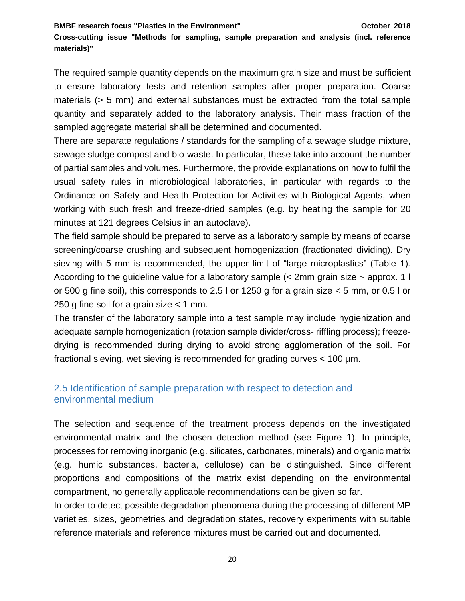#### **BMBF research focus "Plastics in the Environment"** Alta and the United States of the October 2018

**Cross-cutting issue "Methods for sampling, sample preparation and analysis (incl. reference materials)"**

The required sample quantity depends on the maximum grain size and must be sufficient to ensure laboratory tests and retention samples after proper preparation. Coarse materials (> 5 mm) and external substances must be extracted from the total sample quantity and separately added to the laboratory analysis. Their mass fraction of the sampled aggregate material shall be determined and documented.

There are separate regulations / standards for the sampling of a sewage sludge mixture, sewage sludge compost and bio-waste. In particular, these take into account the number of partial samples and volumes. Furthermore, the provide explanations on how to fulfil the usual safety rules in microbiological laboratories, in particular with regards to the Ordinance on Safety and Health Protection for Activities with Biological Agents, when working with such fresh and freeze-dried samples (e.g. by heating the sample for 20 minutes at 121 degrees Celsius in an autoclave).

The field sample should be prepared to serve as a laboratory sample by means of coarse screening/coarse crushing and subsequent homogenization (fractionated dividing). Dry sieving with 5 mm is recommended, the upper limit of "large microplastics" (Table 1). According to the guideline value for a laboratory sample  $\zeta$  2mm grain size  $\sim$  approx. 1 l or 500 g fine soil), this corresponds to 2.5 l or 1250 g for a grain size < 5 mm, or 0.5 l or 250 g fine soil for a grain size  $<$  1 mm.

The transfer of the laboratory sample into a test sample may include hygienization and adequate sample homogenization (rotation sample divider/cross- riffling process); freezedrying is recommended during drying to avoid strong agglomeration of the soil. For fractional sieving, wet sieving is recommended for grading curves < 100 µm.

## <span id="page-19-0"></span>2.5 Identification of sample preparation with respect to detection and environmental medium

The selection and sequence of the treatment process depends on the investigated environmental matrix and the chosen detection method (see Figure 1). In principle, processes for removing inorganic (e.g. silicates, carbonates, minerals) and organic matrix (e.g. humic substances, bacteria, cellulose) can be distinguished. Since different proportions and compositions of the matrix exist depending on the environmental compartment, no generally applicable recommendations can be given so far.

In order to detect possible degradation phenomena during the processing of different MP varieties, sizes, geometries and degradation states, recovery experiments with suitable reference materials and reference mixtures must be carried out and documented.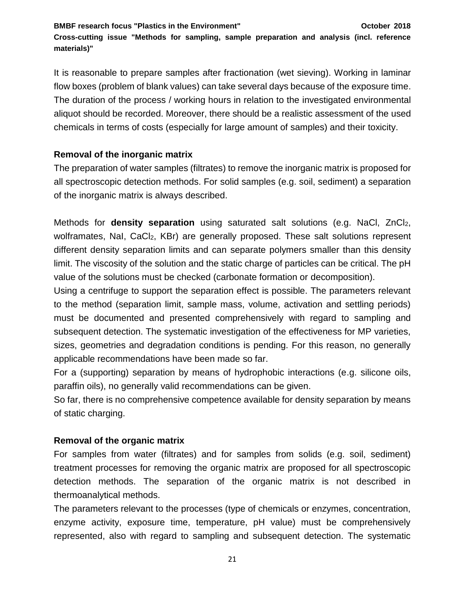**BMBF research focus "Plastics in the Environment"** Alta and the United States of the October 2018 **Cross-cutting issue "Methods for sampling, sample preparation and analysis (incl. reference materials)"**

It is reasonable to prepare samples after fractionation (wet sieving). Working in laminar flow boxes (problem of blank values) can take several days because of the exposure time. The duration of the process / working hours in relation to the investigated environmental aliquot should be recorded. Moreover, there should be a realistic assessment of the used chemicals in terms of costs (especially for large amount of samples) and their toxicity.

## **Removal of the inorganic matrix**

The preparation of water samples (filtrates) to remove the inorganic matrix is proposed for all spectroscopic detection methods. For solid samples (e.g. soil, sediment) a separation of the inorganic matrix is always described.

Methods for **density separation** using saturated salt solutions (e.g. NaCl, ZnCl2, wolframates, NaI, CaCl<sub>2</sub>, KBr) are generally proposed. These salt solutions represent different density separation limits and can separate polymers smaller than this density limit. The viscosity of the solution and the static charge of particles can be critical. The pH value of the solutions must be checked (carbonate formation or decomposition).

Using a centrifuge to support the separation effect is possible. The parameters relevant to the method (separation limit, sample mass, volume, activation and settling periods) must be documented and presented comprehensively with regard to sampling and subsequent detection. The systematic investigation of the effectiveness for MP varieties, sizes, geometries and degradation conditions is pending. For this reason, no generally applicable recommendations have been made so far.

For a (supporting) separation by means of hydrophobic interactions (e.g. silicone oils, paraffin oils), no generally valid recommendations can be given.

So far, there is no comprehensive competence available for density separation by means of static charging.

## **Removal of the organic matrix**

For samples from water (filtrates) and for samples from solids (e.g. soil, sediment) treatment processes for removing the organic matrix are proposed for all spectroscopic detection methods. The separation of the organic matrix is not described in thermoanalytical methods.

The parameters relevant to the processes (type of chemicals or enzymes, concentration, enzyme activity, exposure time, temperature, pH value) must be comprehensively represented, also with regard to sampling and subsequent detection. The systematic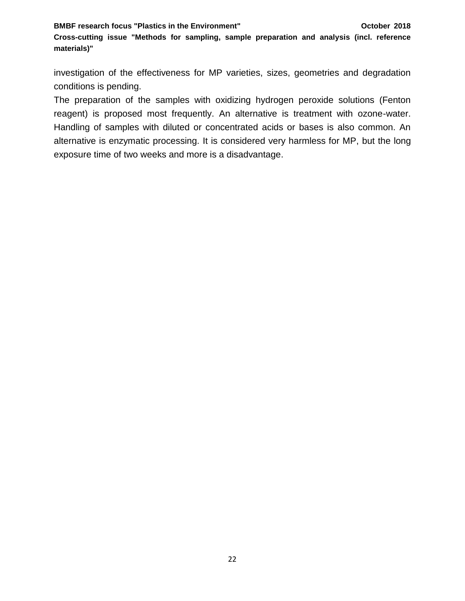**Cross-cutting issue "Methods for sampling, sample preparation and analysis (incl. reference materials)"**

investigation of the effectiveness for MP varieties, sizes, geometries and degradation conditions is pending.

The preparation of the samples with oxidizing hydrogen peroxide solutions (Fenton reagent) is proposed most frequently. An alternative is treatment with ozone-water. Handling of samples with diluted or concentrated acids or bases is also common. An alternative is enzymatic processing. It is considered very harmless for MP, but the long exposure time of two weeks and more is a disadvantage.